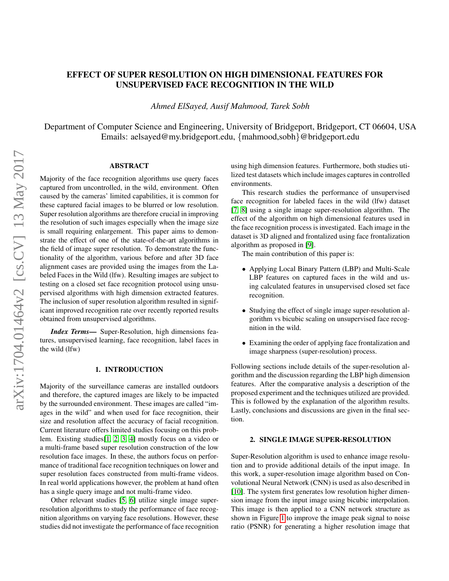# EFFECT OF SUPER RESOLUTION ON HIGH DIMENSIONAL FEATURES FOR UNSUPERVISED FACE RECOGNITION IN THE WILD

*Ahmed ElSayed, Ausif Mahmood, Tarek Sobh*

Department of Computer Science and Engineering, University of Bridgeport, Bridgeport, CT 06604, USA Emails: aelsayed@my.bridgeport.edu, {mahmood,sobh}@bridgeport.edu

## ABSTRACT

Majority of the face recognition algorithms use query faces captured from uncontrolled, in the wild, environment. Often caused by the cameras' limited capabilities, it is common for these captured facial images to be blurred or low resolution. Super resolution algorithms are therefore crucial in improving the resolution of such images especially when the image size is small requiring enlargement. This paper aims to demonstrate the effect of one of the state-of-the-art algorithms in the field of image super resolution. To demonstrate the functionality of the algorithm, various before and after 3D face alignment cases are provided using the images from the Labeled Faces in the Wild (lfw). Resulting images are subject to testing on a closed set face recognition protocol using unsupervised algorithms with high dimension extracted features. The inclusion of super resolution algorithm resulted in significant improved recognition rate over recently reported results obtained from unsupervised algorithms.

*Index Terms*— Super-Resolution, high dimensions features, unsupervised learning, face recognition, label faces in the wild (lfw)

#### 1. INTRODUCTION

Majority of the surveillance cameras are installed outdoors and therefore, the captured images are likely to be impacted by the surrounded environment. These images are called "images in the wild" and when used for face recognition, their size and resolution affect the accuracy of facial recognition. Current literature offers limited studies focusing on this problem. Existing studies[\[1,](#page-3-0) [2,](#page-4-0) [3,](#page-4-1) [4\]](#page-4-2) mostly focus on a video or a multi-frame based super resolution construction of the low resolution face images. In these, the authors focus on performance of traditional face recognition techniques on lower and super resolution faces constructed from multi-frame videos. In real world applications however, the problem at hand often has a single query image and not multi-frame video.

Other relevant studies [\[5,](#page-4-3) [6\]](#page-4-4) utilize single image superresolution algorithms to study the performance of face recognition algorithms on varying face resolutions. However, these studies did not investigate the performance of face recognition using high dimension features. Furthermore, both studies utilized test datasets which include images captures in controlled environments.

This research studies the performance of unsupervised face recognition for labeled faces in the wild (lfw) dataset [\[7,](#page-4-5) [8\]](#page-4-6) using a single image super-resolution algorithm. The effect of the algorithm on high dimensional features used in the face recognition process is investigated. Each image in the dataset is 3D aligned and frontalized using face frontalization algorithm as proposed in [\[9\]](#page-4-7).

The main contribution of this paper is:

- Applying Local Binary Pattern (LBP) and Multi-Scale LBP features on captured faces in the wild and using calculated features in unsupervised closed set face recognition.
- Studying the effect of single image super-resolution algorithm vs bicubic scaling on unsupervised face recognition in the wild.
- Examining the order of applying face frontalization and image sharpness (super-resolution) process.

Following sections include details of the super-resolution algorithm and the discussion regarding the LBP high dimension features. After the comparative analysis a description of the proposed experiment and the techniques utilized are provided. This is followed by the explanation of the algorithm results. Lastly, conclusions and discussions are given in the final section.

## 2. SINGLE IMAGE SUPER-RESOLUTION

Super-Resolution algorithm is used to enhance image resolution and to provide additional details of the input image. In this work, a super-resolution image algorithm based on Convolutional Neural Network (CNN) is used as also described in [\[10\]](#page-4-8). The system first generates low resolution higher dimension image from the input image using bicubic interpolation. This image is then applied to a CNN network structure as shown in Figure [1](#page-1-0) to improve the image peak signal to noise ratio (PSNR) for generating a higher resolution image that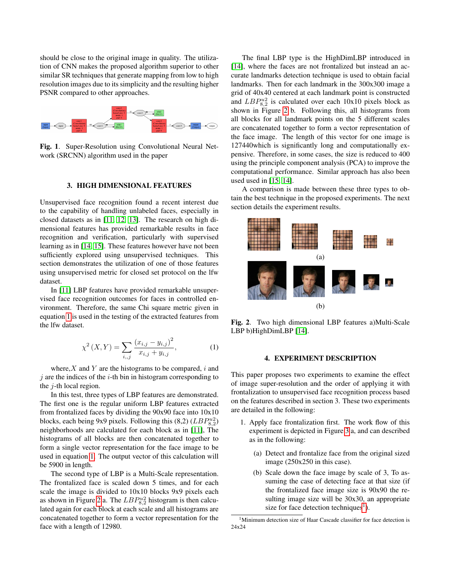should be close to the original image in quality. The utilization of CNN makes the proposed algorithm superior to other similar SR techniques that generate mapping from low to high resolution images due to its simplicity and the resulting higher PSNR compared to other approaches.



<span id="page-1-0"></span>Fig. 1. Super-Resolution using Convolutional Neural Network (SRCNN) algorithm used in the paper

#### 3. HIGH DIMENSIONAL FEATURES

Unsupervised face recognition found a recent interest due to the capability of handling unlabeled faces, especially in closed datasets as in [\[11,](#page-4-9) [12,](#page-4-10) [13\]](#page-4-11). The research on high dimensional features has provided remarkable results in face recognition and verification, particularly with supervised learning as in [\[14,](#page-4-12) [15\]](#page-4-13). These features however have not been sufficiently explored using unsupervised techniques. This section demonstrates the utilization of one of those features using unsupervised metric for closed set protocol on the lfw dataset.

In [\[11\]](#page-4-9) LBP features have provided remarkable unsupervised face recognition outcomes for faces in controlled environment. Therefore, the same Chi square metric given in equation [1](#page-1-1) is used in the testing of the extracted features from the lfw dataset.

<span id="page-1-1"></span>
$$
\chi^{2}\left(X,Y\right) = \sum_{i,j} \frac{\left(x_{i,j} - y_{i,j}\right)^{2}}{x_{i,j} + y_{i,j}},\tag{1}
$$

where,  $X$  and  $Y$  are the histograms to be compared, i and  $\dot{\gamma}$  are the indices of the *i*-th bin in histogram corresponding to the j-th local region.

In this test, three types of LBP features are demonstrated. The first one is the regular uniform LBP features extracted from frontalized faces by dividing the 90x90 face into 10x10 blocks, each being 9x9 pixels. Following this  $(8,2)$   $(LBP_{8,2}^{u2})$ neighborhoods are calculated for each block as in [\[11\]](#page-4-9), The histograms of all blocks are then concatenated together to form a single vector representation for the face image to be used in equation [1.](#page-1-1) The output vector of this calculation will be 5900 in length.

The second type of LBP is a Multi-Scale representation. The frontalized face is scaled down 5 times, and for each scale the image is divided to 10x10 blocks 9x9 pixels each as shown in Figure [2](#page-1-2) a. The  $LBP_{8,2}^{u2}$  histogram is then calculated again for each block at each scale and all histograms are concatenated together to form a vector representation for the face with a length of 12980.

The final LBP type is the HighDimLBP introduced in [\[14\]](#page-4-12), where the faces are not frontalized but instead an accurate landmarks detection technique is used to obtain facial landmarks. Then for each landmark in the 300x300 image a grid of 40x40 centered at each landmark point is constructed and  $LBP_{8,2}^{u2}$  is calculated over each 10x10 pixels block as shown in Figure [2](#page-1-2) b. Following this, all histograms from all blocks for all landmark points on the 5 different scales are concatenated together to form a vector representation of the face image. The length of this vector for one image is 127440which is significantly long and computationally expensive. Therefore, in some cases, the size is reduced to 400 using the principle component analysis (PCA) to improve the computational performance. Similar approach has also been used used in [\[15,](#page-4-13) [14\]](#page-4-12).

A comparison is made between these three types to obtain the best technique in the proposed experiments. The next section details the experiment results.



<span id="page-1-2"></span>Fig. 2. Two high dimensional LBP features a)Multi-Scale LBP b)HighDimLBP [\[14\]](#page-4-12).

#### 4. EXPERIMENT DESCRIPTION

This paper proposes two experiments to examine the effect of image super-resolution and the order of applying it with frontalization to unsupervised face recognition process based on the features described in section 3. These two experiments are detailed in the following:

- 1. Apply face frontalization first. The work flow of this experiment is depicted in Figure [3](#page-2-0) a, and can described as in the following:
	- (a) Detect and frontalize face from the original sized image (250x250 in this case).
	- (b) Scale down the face image by scale of 3, To assuming the case of detecting face at that size (if the frontalized face image size is 90x90 the resulting image size will be 30x30, an appropriate size for face detection techniques<sup>[1](#page-1-3)</sup>).

<span id="page-1-3"></span><sup>&</sup>lt;sup>1</sup>Minimum detection size of Haar Cascade classifier for face detection is 24x24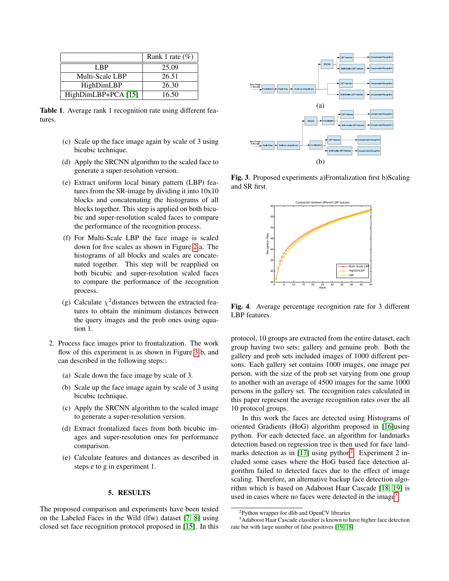|                       | Rank 1 rate $(\%)$ |
|-----------------------|--------------------|
| LBP.                  | 25.09              |
| Multi-Scale LBP       | 26.51              |
| HighDimLBP            | 26.30              |
| $HighDimLBP+PCA [15]$ | 16.50              |

<span id="page-2-4"></span>Table 1. Average rank 1 recognition rate using different features.

- (c) Scale up the face image again by scale of 3 using bicubic technique.
- (d) Apply the SRCNN algorithm to the scaled face to generate a super-resolution version.
- (e) Extract uniform local binary pattern (LBP) features from the SR-image by dividing it into 10x10 blocks and concatenating the histograms of all blocks together. This step is applied on both bicubic and super-resolution scaled faces to compare the performance of the recognition process.
- (f) For Multi-Scale LBP the face image is scaled down for five scales as shown in Figure [2](#page-1-2) a. The histograms of all blocks and scales are concatenated together. This step will be reapplied on both bicubic and super-resolution scaled faces to compare the performance of the recognition process.
- (g) Calculate  $\chi^2$ distances between the extracted features to obtain the minimum distances between the query images and the prob ones using equation 1.
- 2. Process face images prior to frontalization. The work flow of this experiment is as shown in Figure [3](#page-2-0) b, and can described in the following steps::
	- (a) Scale down the face image by scale of 3.
	- (b) Scale up the face image again by scale of 3 using bicubic technique.
	- (c) Apply the SRCNN algorithm to the scaled image to generate a super-resolution version.
	- (d) Extract frontalized faces from both bicubic images and super-resolution ones for performance comparison.
	- (e) Calculate features and distances as described in steps e to g in experiment 1.

### 5. RESULTS

The proposed comparison and experiments have been tested on the Labeled Faces in the Wild (lfw) dataset [\[7,](#page-4-5) [8\]](#page-4-6) using closed set face recognition protocol proposed in [\[15\]](#page-4-13). In this



<span id="page-2-0"></span>Fig. 3. Proposed experiments a)Frontalization first b)Scaling and SR first.



<span id="page-2-3"></span>Fig. 4. Average percentage recognition rate for 3 different LBP features.

protocol, 10 groups are extracted from the entire dataset, each group having two sets; gallery and genuine prob. Both the gallery and prob sets included images of 1000 different persons. Each gallery set contains 1000 images, one image per person, with the size of the prob set varying from one group to another with an average of 4500 images for the same 1000 persons in the gallery set. The recognition rates calculated in this paper represent the average recognition rates over the all 10 protocol groups.

In this work the faces are detected using Histograms of oriented Gradients (HoG) algorithm proposed in [\[16\]](#page-4-14)using python. For each detected face, an algorithm for landmarks detection based on regression tree is then used for face land-marks detection as in [\[17\]](#page-4-15) using python<sup>[2](#page-2-1)</sup>. Experiment 2 included some cases where the HoG based face detection algorithm failed to detected faces due to the effect of image scaling. Therefore, an alternative backup face detection algorithm which is based on Adaboost Haar Cascade [\[18,](#page-4-16) [19\]](#page-4-17) is used in cases where no faces were detected in the image<sup>[3](#page-2-2)</sup>.

<span id="page-2-2"></span><span id="page-2-1"></span><sup>2</sup>Python wrapper for dlib and OpenCV libraries

<sup>3</sup>Adaboost Haar Cascade classifier is known to have higher face detection rate but with large number of false positives [\[19,](#page-4-17) [18\]](#page-4-16)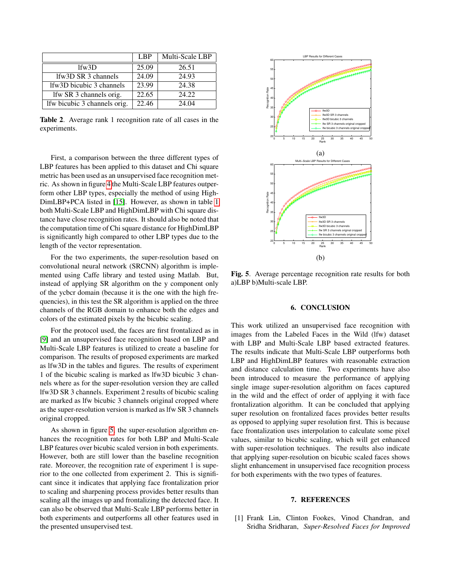|                               | LBP   | Multi-Scale LBP |
|-------------------------------|-------|-----------------|
| $1$ fw $3D$                   | 25.09 | 26.51           |
| lfw3D SR 3 channels           | 24.09 | 24.93           |
| lfw3D bicubic 3 channels      | 23.99 | 24.38           |
| If w SR 3 channels orig.      | 22.65 | 24.22           |
| If w bicubic 3 channels orig. | 22.46 | 24.04           |

Table 2. Average rank 1 recognition rate of all cases in the experiments.

First, a comparison between the three different types of LBP features has been applied to this dataset and Chi square metric has been used as an unsupervised face recognition metric. As shown in figure [4](#page-2-3) the Multi-Scale LBP features outperform other LBP types, especially the method of using High-DimLBP+PCA listed in [\[15\]](#page-4-13). However, as shown in table [1](#page-2-4) both Multi-Scale LBP and HighDimLBP with Chi square distance have close recognition rates. It should also be noted that the computation time of Chi square distance for HighDimLBP is significantly high compared to other LBP types due to the length of the vector representation.

For the two experiments, the super-resolution based on convolutional neural network (SRCNN) algorithm is implemented using Caffe library and tested using Matlab. But, instead of applying SR algorithm on the y component only of the ycbcr domain (because it is the one with the high frequencies), in this test the SR algorithm is applied on the three channels of the RGB domain to enhance both the edges and colors of the estimated pixels by the bicubic scaling.

For the protocol used, the faces are first frontalized as in [\[9\]](#page-4-7) and an unsupervised face recognition based on LBP and Multi-Scale LBP features is utilized to create a baseline for comparison. The results of proposed experiments are marked as lfw3D in the tables and figures. The results of experiment 1 of the bicubic scaling is marked as lfw3D bicubic 3 channels where as for the super-resolution version they are called lfw3D SR 3 channels. Experiment 2 results of bicubic scaling are marked as lfw bicubic 3 channels original cropped where as the super-resolution version is marked as lfw SR 3 channels original cropped.

As shown in figure [5,](#page-3-1) the super-resolution algorithm enhances the recognition rates for both LBP and Multi-Scale LBP features over bicubic scaled version in both experiments. However, both are still lower than the baseline recognition rate. Moreover, the recognition rate of experiment 1 is superior to the one collected from experiment 2. This is significant since it indicates that applying face frontalization prior to scaling and sharpening process provides better results than scaling all the images up and frontalizing the detected face. It can also be observed that Multi-Scale LBP performs better in both experiments and outperforms all other features used in the presented unsupervised test.



<span id="page-3-1"></span>Fig. 5. Average percentage recognition rate results for both a)LBP b)Multi-scale LBP.

#### 6. CONCLUSION

This work utilized an unsupervised face recognition with images from the Labeled Faces in the Wild (lfw) dataset with LBP and Multi-Scale LBP based extracted features. The results indicate that Multi-Scale LBP outperforms both LBP and HighDimLBP features with reasonable extraction and distance calculation time. Two experiments have also been introduced to measure the performance of applying single image super-resolution algorithm on faces captured in the wild and the effect of order of applying it with face frontalization algorithm. It can be concluded that applying super resolution on frontalized faces provides better results as opposed to applying super resolution first. This is because face frontalization uses interpolation to calculate some pixel values, similar to bicubic scaling, which will get enhanced with super-resolution techniques. The results also indicate that applying super-resolution on bicubic scaled faces shows slight enhancement in unsupervised face recognition process for both experiments with the two types of features.

#### 7. REFERENCES

<span id="page-3-0"></span>[1] Frank Lin, Clinton Fookes, Vinod Chandran, and Sridha Sridharan, *Super-Resolved Faces for Improved*